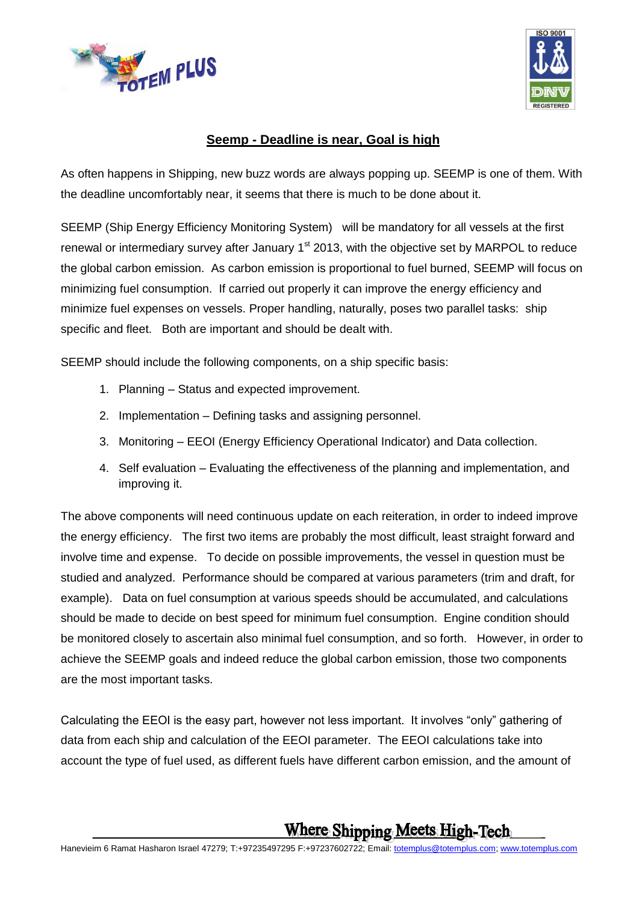



## **Seemp - Deadline is near, Goal is high**

As often happens in Shipping, new buzz words are always popping up. SEEMP is one of them. With the deadline uncomfortably near, it seems that there is much to be done about it.

SEEMP (Ship Energy Efficiency Monitoring System) will be mandatory for all vessels at the first renewal or intermediary survey after January  $1<sup>st</sup>$  2013, with the objective set by MARPOL to reduce the global carbon emission. As carbon emission is proportional to fuel burned, SEEMP will focus on minimizing fuel consumption. If carried out properly it can improve the energy efficiency and minimize fuel expenses on vessels. Proper handling, naturally, poses two parallel tasks: ship specific and fleet. Both are important and should be dealt with.

SEEMP should include the following components, on a ship specific basis:

- 1. Planning Status and expected improvement.
- 2. Implementation Defining tasks and assigning personnel.
- 3. Monitoring EEOI (Energy Efficiency Operational Indicator) and Data collection.
- 4. Self evaluation Evaluating the effectiveness of the planning and implementation, and improving it.

The above components will need continuous update on each reiteration, in order to indeed improve the energy efficiency. The first two items are probably the most difficult, least straight forward and involve time and expense. To decide on possible improvements, the vessel in question must be studied and analyzed. Performance should be compared at various parameters (trim and draft, for example). Data on fuel consumption at various speeds should be accumulated, and calculations should be made to decide on best speed for minimum fuel consumption. Engine condition should be monitored closely to ascertain also minimal fuel consumption, and so forth. However, in order to achieve the SEEMP goals and indeed reduce the global carbon emission, those two components are the most important tasks.

Calculating the EEOI is the easy part, however not less important. It involves "only" gathering of data from each ship and calculation of the EEOI parameter. The EEOI calculations take into account the type of fuel used, as different fuels have different carbon emission, and the amount of

## **Where Shipping Meets High-Tech**